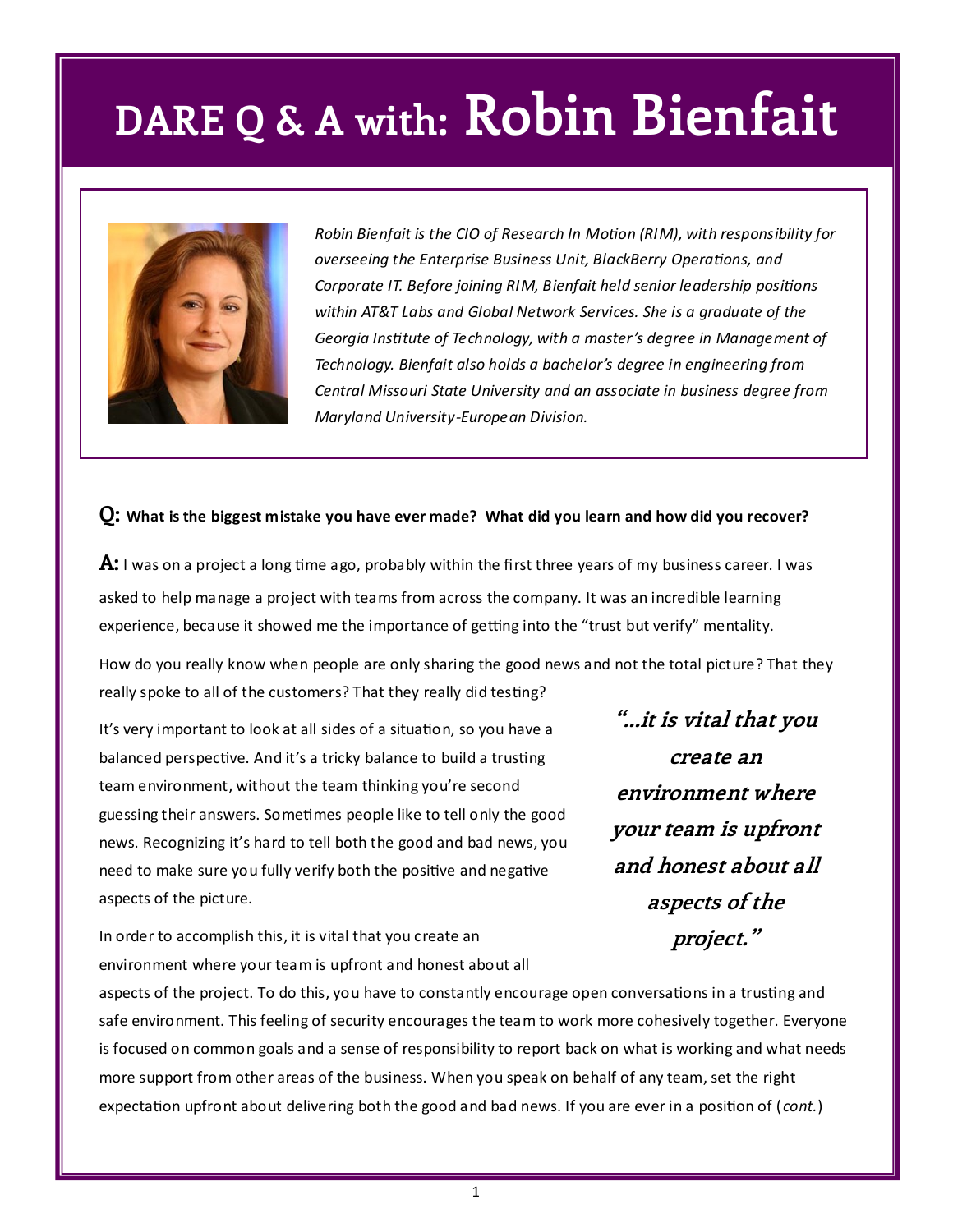## **DARE Q & A with: Robin Bienfait**



*Robin Bienfait is the CIO of Research In Motion (RIM), with responsibility for overseeing the Enterprise Business Unit, BlackBerry Operations, and Corporate IT. Before joining RIM, Bienfait held senior leadership positions within AT&T Labs and Global Network Services. She is a graduate of the Georgia Institute of Technology, with a master's degree in Management of Technology. Bienfait also holds a bachelor's degree in engineering from Central Missouri State University and an associate in business degree from Maryland University-European Division.*

#### **Q: What is the biggest mistake you have ever made? What did you learn and how did you recover?**

**A:** I was on a project a long time ago, probably within the first three years of my business career. I was asked to help manage a project with teams from across the company. It was an incredible learning experience, because it showed me the importance of getting into the "trust but verify" mentality.

How do you really know when people are only sharing the good news and not the total picture? That they really spoke to all of the customers? That they really did testing?

It's very important to look at all sides of a situation, so you have a balanced perspective. And it's a tricky balance to build a trusting team environment, without the team thinking you're second guessing their answers. Sometimes people like to tell only the good news. Recognizing it's hard to tell both the good and bad news, you need to make sure you fully verify both the positive and negative aspects of the picture.

In order to accomplish this, it is vital that you create an environment where your team is upfront and honest about all

**"...it is vital that you create an environment where your team is upfront and honest about all aspects of the project."**

aspects of the project. To do this, you have to constantly encourage open conversations in a trusting and safe environment. This feeling of security encourages the team to work more cohesively together. Everyone is focused on common goals and a sense of responsibility to report back on what is working and what needs more support from other areas of the business. When you speak on behalf of any team, set the right expectation upfront about delivering both the good and bad news. If you are ever in a position of ( *cont.*)

1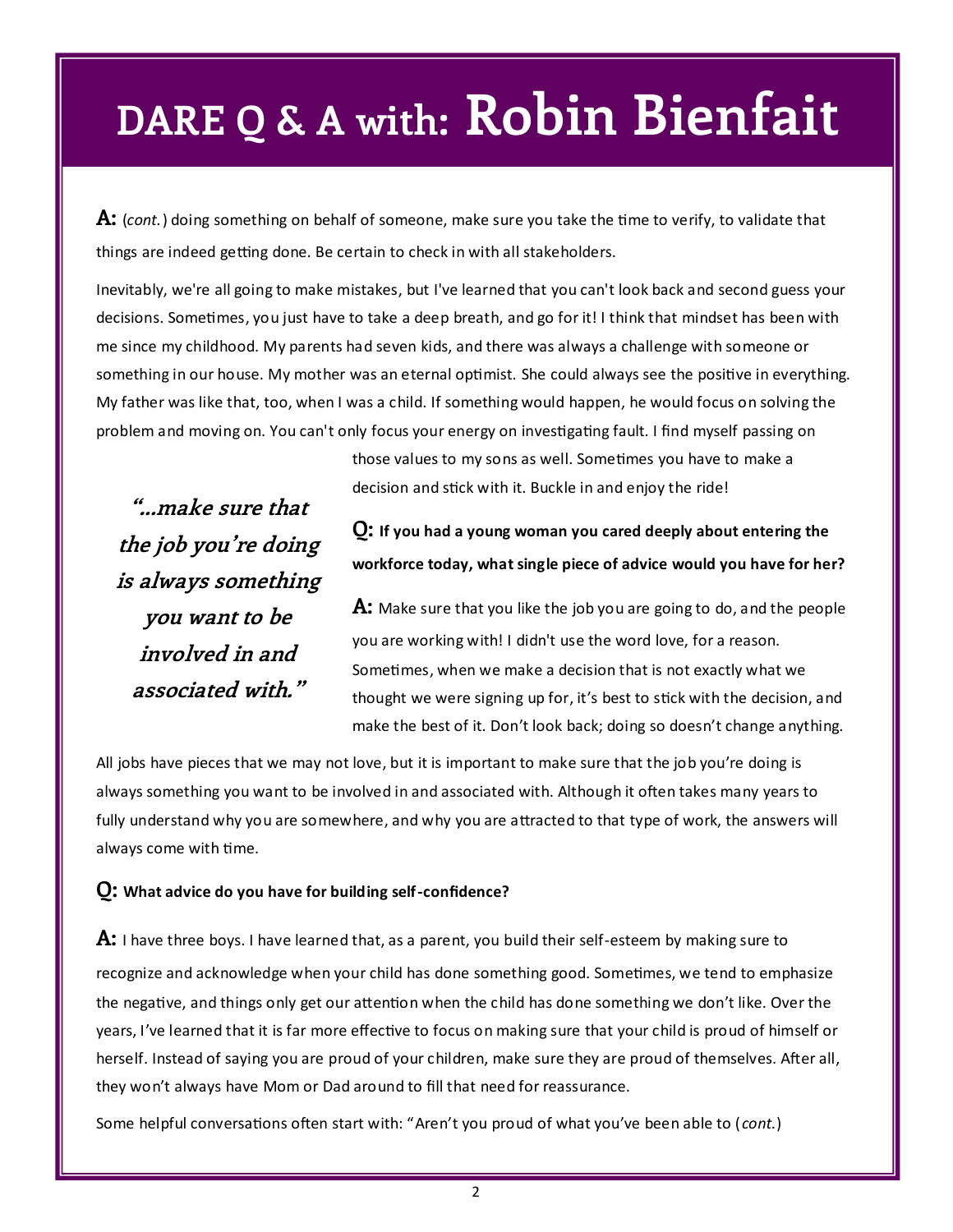## **DARE Q & A with: Robin Bienfait**

**A:** (*cont.*) doing something on behalf of someone, make sure you take the time to verify, to validate that things are indeed getting done. Be certain to check in with all stakeholders.

Inevitably, we're all going to make mistakes, but I've learned that you can't look back and second guess your decisions. Sometimes, you just have to take a deep breath, and go for it! I think that mindset has been with me since my childhood. My parents had seven kids, and there was always a challenge with someone or something in our house. My mother was an eternal optimist. She could always see the positive in everything. My father was like that, too, when I was a child. If something would happen, he would focus on solving the problem and moving on. You can't only focus your energy on investigating fault. I find myself passing on

> those values to my sons as well. Sometimes you have to make a decision and stick with it. Buckle in and enjoy the ride!

**"...make sure that the job you're doing is always something you want to be involved in and associated with."**

### **Q: If you had a young woman you cared deeply about entering the workforce today, what single piece of advice would you have for her?**

**A:** Make sure that you like the job you are going to do, and the people you are working with! I didn't use the word love, for a reason. Sometimes, when we make a decision that is not exactly what we thought we were signing up for, it's best to stick with the decision, and make the best of it. Don't look back; doing so doesn't change anything.

All jobs have pieces that we may not love, but it is important to make sure that the job you're doing is always something you want to be involved in and associated with. Although it often takes many years to fully understand why you are somewhere, and why you are attracted to that type of work, the answers will always come with time.

#### **Q: What advice do you have for building self-confidence?**

**A:** I have three boys. I have learned that, as a parent, you build their self-esteem by making sure to recognize and acknowledge when your child has done something good. Sometimes, we tend to emphasize the negative, and things only get our attention when the child has done something we don't like. Over the years, I've learned that it is far more effective to focus on making sure that your child is proud of himself or herself. Instead of saying you are proud of your children, make sure they are proud of themselves. After all, they won't always have Mom or Dad around to fill that need for reassurance.

Some helpful conversations often start with: "Aren't you proud of what you've been able to (*cont.*)